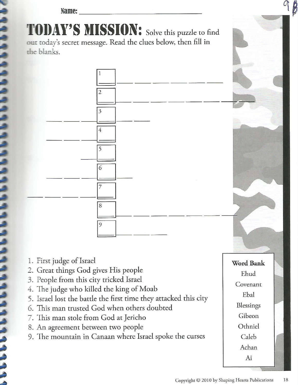**Name:** ---------------

- □------  $\overline{\phantom{a}}$  $\begin{array}{|c|c|}\n3 \\
\hline\n\end{array}$ <u>3</u><br>3<br>4<br>4 - <u>- - - - - - - <sup>-</sup> - - -</u> -□ <sup>1</sup>  $\frac{6}{7}$  $\mathsf{L}$ 8  $\vdash$ 1  $\circ$ I
- 1. First judge of Israel
- 2. Great things God gives His people
- 3. People from this city tricked Israel
- 4. The judge who killed the king of Moab
- 5. Israel lost the battle the first time they attacked this city
- 6. This man trusted God when others doubted
- 7. This man stole from God at Jericho
- 8. An agreement between two people
- 9. The mountain in Canaan where Israel spoke the curses

Ebal Blessings Gibeon Othniel Caleb Achan Ai

**Word Bank** 

Ehud

Covenant